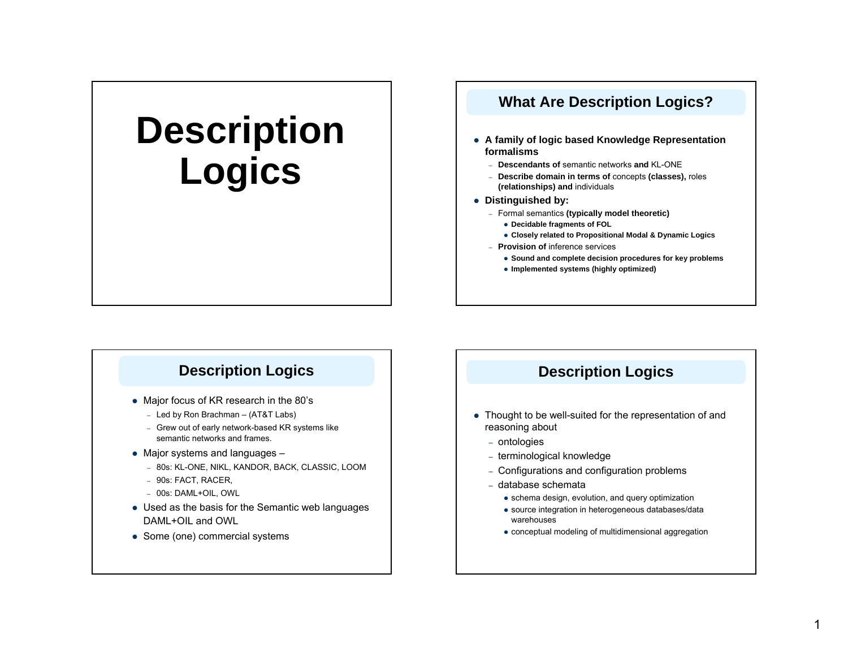# **Description Logics**

## **What Are Description Logics?**

- **A family of logic based Knowledge Representation formalisms**
	- **Descendants of** semantic networks **and** KL-ONE
	- **Describe domain in terms of** concepts **(classes),** roles **(relationships) and** individuals
- **•** Distinguished by:
	- Formal semantics **(typically model theoretic)**
		- **Decidable fragments of FOL**
		- **Closely related to Propositional Modal & Dynamic Logics**
	- **Provision of** inference services
		- **Sound and complete decision procedures for key problems**
		- **Implemented systems (highly optimized)**

#### **Description Logics**

- Major focus of KR research in the 80's
	- Led by Ron Brachman (AT&T Labs)
	- Grew out of early network-based KR systems like semantic networks and frames.
- Major systems and languages
	- 80s: KL-ONE, NIKL, KANDOR, BACK, CLASSIC, LOOM
	- 90s: FACT, RACER,
	- 00s: DAML+OIL, OWL
- Used as the basis for the Semantic web languages DAML+OIL and OWL
- Some (one) commercial systems

#### **Description Logics**

- Thought to be well-suited for the representation of and reasoning about
	- ontologies
	- terminological knowledge
	- Configurations and configuration problems
	- database schemata
		- schema design, evolution, and query optimization
		- source integration in heterogeneous databases/data warehouses
		- $\bullet$  conceptual modeling of multidimensional aggregation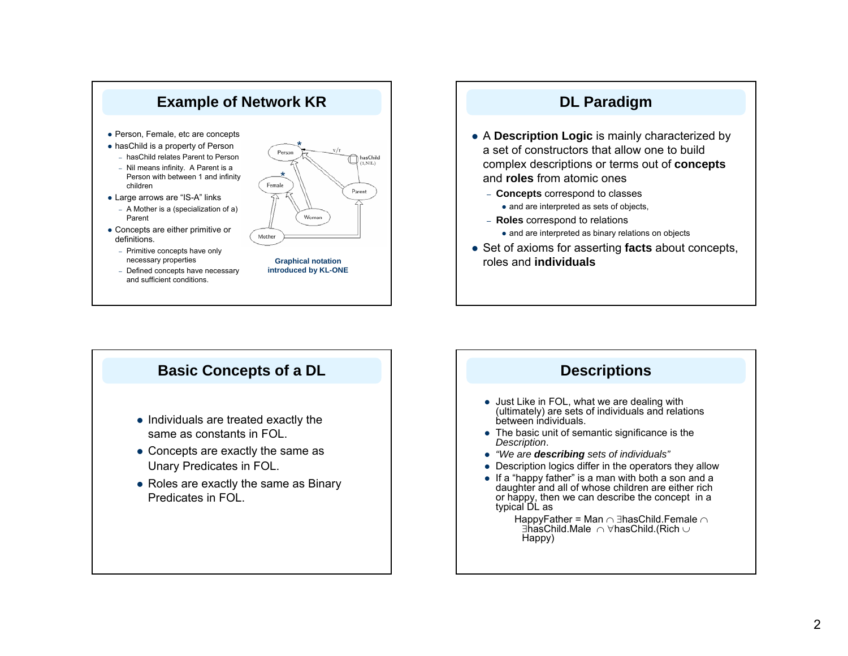



- A **Description Logic** is mainly characterized by a set of constructors that allow one to build complex descriptions or terms out of **concepts** and **roles** from atomic ones
	- **Concepts** correspond to classes
		- and are interpreted as sets of objects,
	- **Roles** correspond to relations
		- and are interpreted as binary relations on objects
- Set of axioms for asserting **facts** about concepts, roles and **individuals**



#### **Descriptions**

- Just Like in FOL, what we are dealing with (ultimately) are sets of individuals and relations
- $\bullet$  The basic unit of semantic significance is the
- z *"We are describing sets of individuals"*
- Description logics differ in the operators they allow
- $\bullet$  If a "happy father" is a man with both a son and a daughter and all of whose children are either rich or happy, then we can describe the concept in a

HappyFather = Man <sup>∩</sup> ∃hasChild.Female <sup>∩</sup> ∃hasChild.Male <sup>∩</sup> ∀hasChild.(Rich <sup>∪</sup>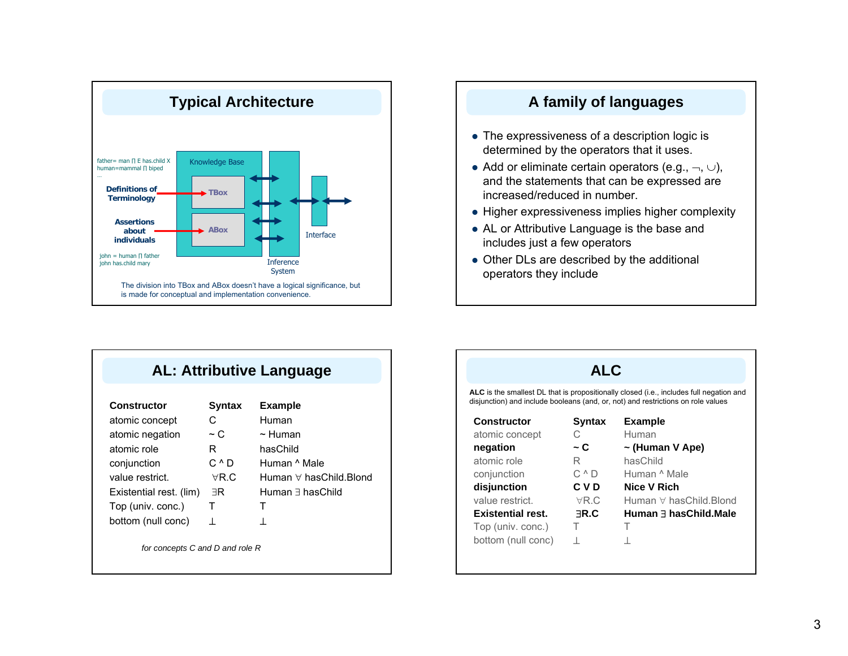

#### **A family of languages**

- $\bullet$  The expressiveness of a description logic is determined by the operators that it uses.
- Add or eliminate certain operators (e.g.,  $\neg$ ,  $\cup$ ), and the statements that can be expressed are increased/reduced in number.
- Higher expressiveness implies higher complexity
- AL or Attributive Language is the base and includes just a few operators
- Other DLs are described by the additional operators they include

| <b>AL: Attributive Language</b> |  |
|---------------------------------|--|
|---------------------------------|--|

| <b>Constructor</b>              | <b>Syntax</b>  | <b>Example</b>                  |
|---------------------------------|----------------|---------------------------------|
| atomic concept                  | С              | Human                           |
| atomic negation                 | $\sim$ C       | $\sim$ Human                    |
| atomic role                     | R              | hasChild                        |
| conjunction                     | C ^ D          | Human ^ Male                    |
| value restrict.                 | $\forall R.C.$ | Human $\forall$ has Child Blond |
| Existential rest. (lim)         | ∃R             | Human $\exists$ has Child       |
| Top (univ. conc.)               | т              | т                               |
| bottom (null conc)              | ⊥              | 上                               |
| for concepts C and D and role R |                |                                 |

#### **ALC**

**ALC** is the smallest DL that is propositionally closed (i.e., includes full negation and disjunction) and include booleans (and, or, not) and restrictions on role values

| <b>Constructor</b>       | <b>Syntax</b> | <b>Example</b>         |
|--------------------------|---------------|------------------------|
| atomic concept           | С             | Human                  |
| negation                 | ~ C           | $\sim$ (Human V Ape)   |
| atomic role              | R             | hasChild               |
| conjunction              | C ^ D         | Human ^ Male           |
| disjunction              | C V D         | Nice V Rich            |
| value restrict.          | $\forall R.C$ | Human ∀ hasChild.Blond |
| <b>Existential rest.</b> | <b>ER.C</b>   | Human ∃ hasChild.Male  |
| Top (univ. conc.)        | т             | т                      |
| bottom (null conc)       | $\mathbf{I}$  |                        |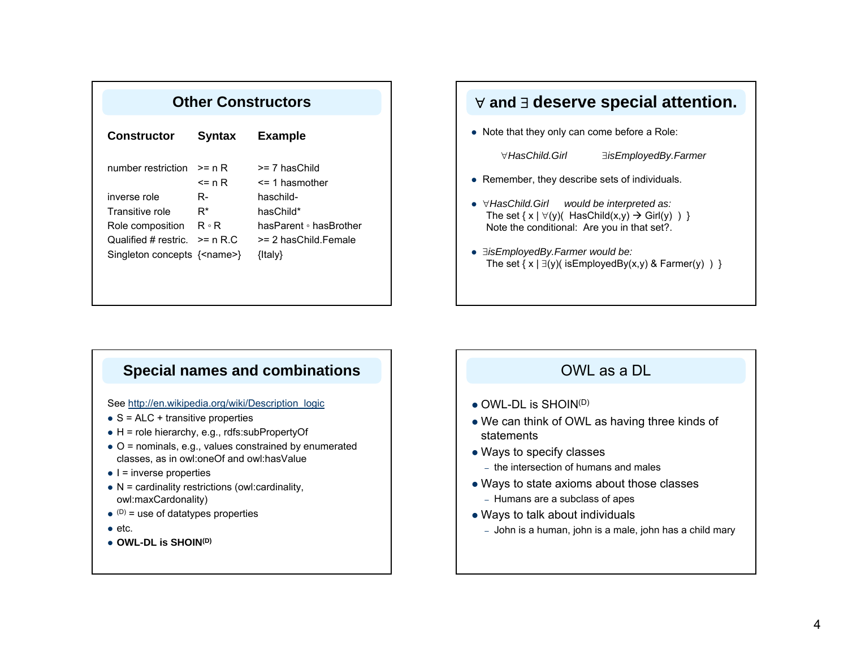| <b>Other Constructors</b>              |                  |                                     |  |
|----------------------------------------|------------------|-------------------------------------|--|
| Constructor                            | <b>Syntax</b>    | <b>Example</b>                      |  |
| number restriction                     | >= n R<br><= n R | >= 7 hasChild<br>$\leq$ 1 hasmother |  |
| inverse role                           | R-               | haschild-                           |  |
| Transitive role                        | R*               | hasChild*                           |  |
| Role composition                       | R ∘ R            | hasParent • hasBrother              |  |
| Qualified # restric.                   | $>= n R.C$       | >= 2 hasChild Female                |  |
| Singleton concepts $\{\text{$ name>}\} |                  | ${$                                 |  |

### ∀ **and** <sup>∃</sup> **deserve special attention.**

 $\bullet$  Note that they only can come before a Role:

∀*HasChild.Girl*

∃*isEmployedBy.Farmer*

- Remember, they describe sets of individuals.
- z ∀*HasChild.Girl would be interpreted as:*  The set  $\{ x \mid \forall (y)$  HasChild $(x,y) \rightarrow$  Girl $(y)$ ) } Note the conditional: Are you in that set?.
- z ∃*isEmployedBy.Farmer would be:*  The set  $\{ x | \exists(y)$  (is Employed By  $(x,y)$  & Farmer  $(y)$ ) }

#### **Special names and combinations**

See http://en.wikipedia.org/wiki/Description\_logic

- $\bullet$  S = ALC + transitive properties
- $\bullet$  H = role hierarchy, e.g., rdfs:subPropertyOf
- $\bullet$  O = nominals, e.g., values constrained by enumerated classes, as in owl:oneOf and owl:hasValue
- $\bullet$  I = inverse properties
- $\bullet$  N = cardinality restrictions (owl:cardinality, owl:maxCardonality)
- $\bullet$  (D) = use of datatypes properties
- $\bullet$  etc.
- z **OWL-DL is SHOIN(D)**

#### OWL as a DL

- $\bullet$  OWL-DL is SHOIN(D)
- We can think of OWL as having three kinds of statements
- Ways to specify classes
	- the intersection of humans and males
- $\bullet$  Ways to state axioms about those classes
	- Humans are a subclass of apes
- Ways to talk about individuals
- John is a human, john is a male, john has a child mary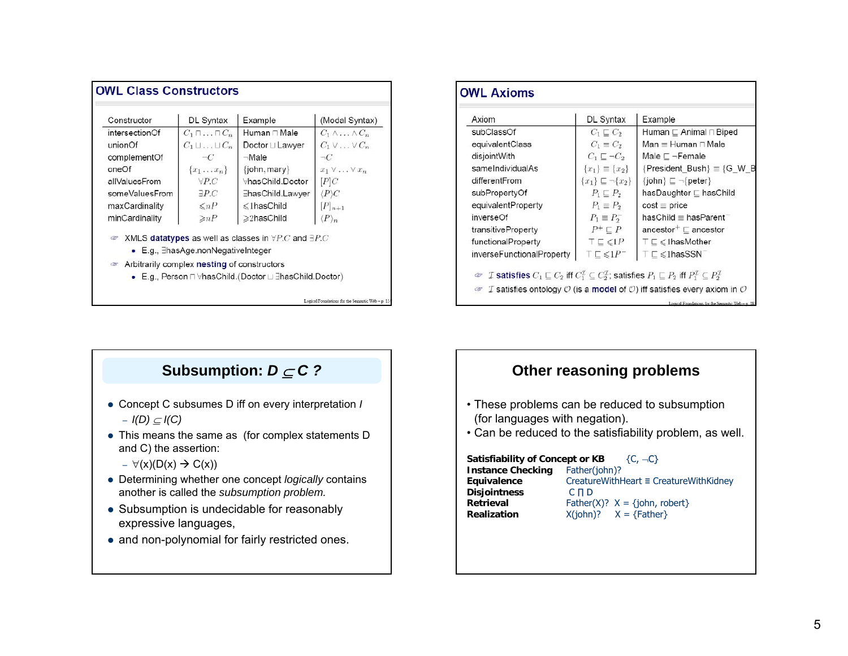| Constructor    | DL Syntax                                           | Example                                                              | (Modal Syntax)                 |
|----------------|-----------------------------------------------------|----------------------------------------------------------------------|--------------------------------|
| intersectionOf | $C_1 \sqcap \ldots \sqcap C_n$                      | Human ⊓ Male                                                         | $C_1 \wedge \ldots \wedge C_n$ |
| unionOf        | $C_1 \sqcup \ldots \sqcup C_n$                      | Doctor ⊔ Lawyer                                                      | $C_1 \vee \ldots \vee C_n$     |
| complementOf   | $\neg C$                                            | ⊸Male                                                                | $\neg C$                       |
| oneOf          | $\{x_1 \ldots x_n\}$                                | $\{john,mary\}$                                                      | $x_1 \vee \ldots \vee x_n$     |
| allValuesFrom  | $\forall PC$                                        | ∀hasChild.Doctor                                                     | P C                            |
| someValuesFrom | $\exists P.C$                                       | ∃hasChild.Lawyer                                                     | $\langle P \rangle C$          |
| maxCardinality | $\leq nP$                                           | $\leq$ 1hasChild                                                     | $[P]_{n+1}$                    |
| minCardinality | $\geq nP$                                           | ≥2hasChild                                                           | $\langle P \rangle_n$          |
| œ              | $\bullet$ E.g., $\exists$ hasAge.nonNegativeInteger | XMLS datatypes as well as classes in $\forall P.C$ and $\exists P.C$ |                                |
| <b>CBP</b>     | Arbitrarily complex nesting of constructors         |                                                                      |                                |
|                |                                                     | • E.g., Person $\sqcap$ ∀hasChild.(Doctor $\sqcup$ ∃hasChild.Doctor) |                                |

| Axiom                     | DL Syntax                           | Example                                              |
|---------------------------|-------------------------------------|------------------------------------------------------|
| subClassOf                | $C_1 \sqsubseteq C_2$               | Human ⊑ Animal ⊓ Biped                               |
| equivalentClass           | $C_1 \equiv C_2$                    | $Man \equiv Human \sqcap Male$                       |
| disjointWith              | $C_1 \sqsubset \neg C_2$            | Male $\sqsubset \neg$ Female                         |
| sameIndividualAs          | ${x_1} \equiv {x_2}$                | ${President\_Bush} \equiv {G_W_B}$                   |
| differentFrom             | ${x_1}\subseteq \neg {x_2}$         | $\{\mathsf{John}\}\sqsubseteq\neg\{\mathsf{peter}\}$ |
| subPropertyOf             | $P_1 \sqsubseteq P_2$               | hasDaughter ⊑ hasChild                               |
| equivalentProperty        | $P_1 \equiv P_2$                    | $cost \equiv price$                                  |
| inverseOf                 | $P_1 \equiv P_2^-$                  | $hasChild \equiv hasParent$                          |
| transitiveProperty        | $P^+\sqsubseteq P$                  | ancestor <sup>+</sup> $\sqsubset$ ancestor           |
| functionalProperty        | $T \sqsubseteq \leqslant 1P$        | $T \sqsubset \leqslant 1$ hasMother                  |
| inverseFunctionalProperty | $\top \sqsubseteq \leqslant 1P^{-}$ | $\top$ $\subset$ $\leq$ 1has SSN                     |

#### **Subsumption:** *D* <sup>⊆</sup> *C ?* • Concept C subsumes D iff on every interpretation *I* – *I(D)* <sup>⊆</sup> *I(C)*  $\bullet$  This means the same as (for complex statements D and C) the assertion:  $-$  ∀(x)(D(x)  $\rightarrow$  C(x)) • Determining whether one concept *logically* contains another is called the *subsumption problem.* • Subsumption is undecidable for reasonably expressive languages,  $\bullet$  and non-polynomial for fairly restricted ones.

#### **Other reasoning problems**

- These problems can be reduced to subsumption (for languages with negation).
- Can be reduced to the satisfiability problem, as well.

Satisfiability of Concept or KB {C, -C} **Instance Checking** Father(john)?<br>**Equivalence** CreatureWithF **Equivalence** CreatureWithHeart ≡ CreatureWithKidney **Disjointness** C ∏ D **Retrieval**Father(X)?  $X = \{john, robot\}$ **Realization** $X(john)? \quad X = {Father}$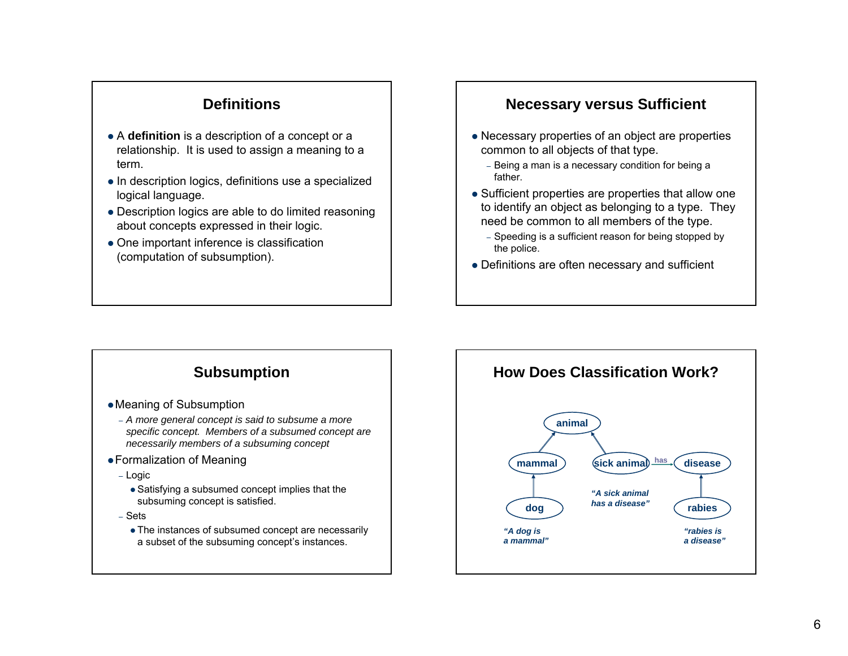#### **Definitions**

- A **definition** is a description of a concept or a relationship. It is used to assign a meaning to a term.
- In description logics, definitions use a specialized logical language.
- Description logics are able to do limited reasoning about concepts expressed in their logic.
- $\bullet$  One important inference is classification (computation of subsumption).

#### **Necessary versus Sufficient**

- Necessary properties of an object are properties common to all objects of that type.
	- Being a man is a necessary condition for being a father.
- Sufficient properties are properties that allow one to identify an object as belonging to a type. They need be common to all members of the type.
	- Speeding is a sufficient reason for being stopped by the police.
- $\bullet$  Definitions are often necessary and sufficient

### **Subsumption**

- $\bullet$  Meaning of Subsumption
	- *A more general concept is said to subsume a more specific concept. Members of a subsumed concept are necessarily members of a subsuming concept*
- Formalization of Meaning
	- Logic
		- $\bullet$  Satisfying a subsumed concept implies that the subsuming concept is satisfied.
	- Sets
		- The instances of subsumed concept are necessarily a subset of the subsuming concept's instances.

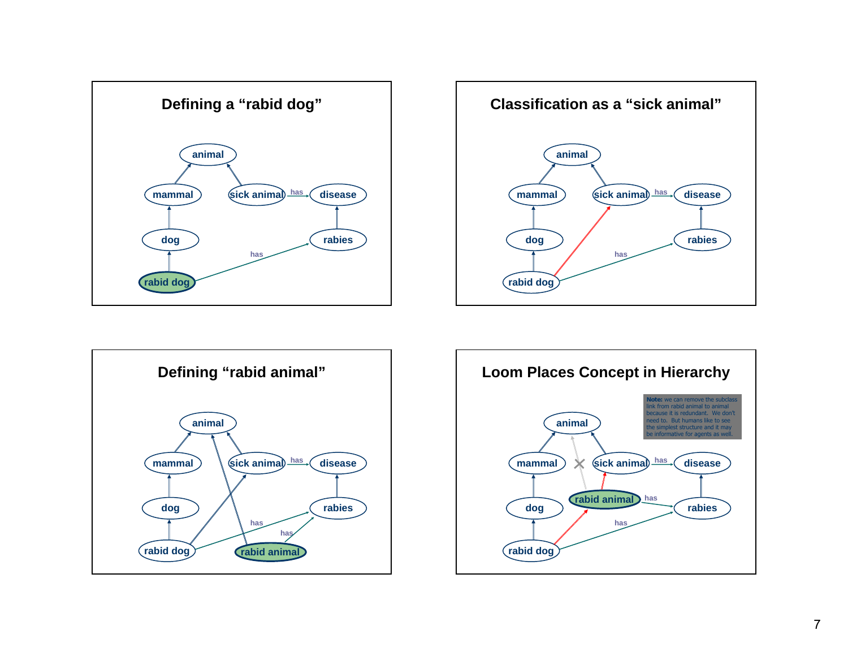





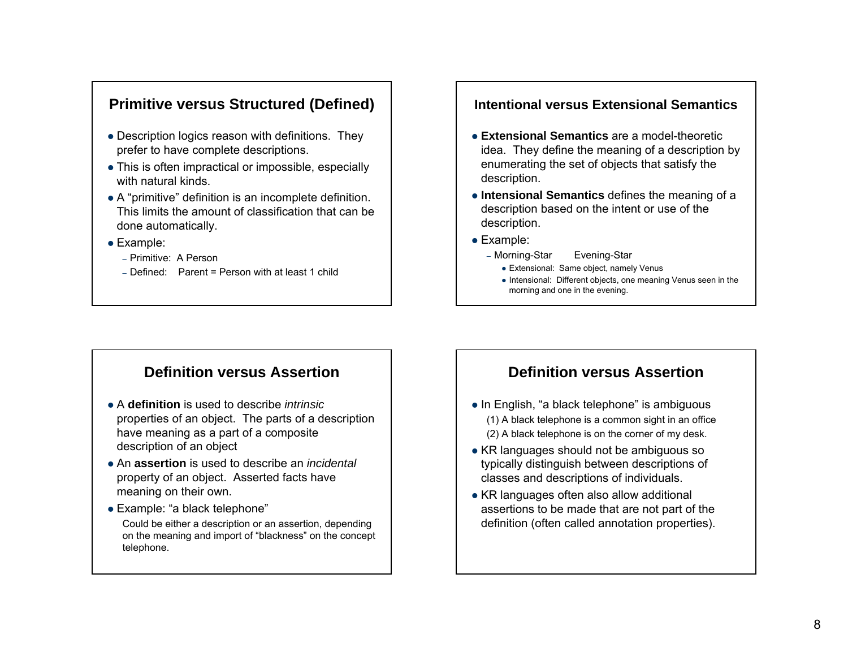#### **Primitive versus Structured (Defined)**

- Description logics reason with definitions. They prefer to have complete descriptions.
- This is often impractical or impossible, especially with natural kinds.
- A "primitive" definition is an incomplete definition. This limits the amount of classification that can be done automatically.
- $\bullet$  Example:
	- Primitive: A Person
	- Defined: Parent = Person with at least 1 child

#### **Intentional versus Extensional Semantics**

- **Extensional Semantics** are a model-theoretic idea. They define the meaning of a description by enumerating the set of objects that satisfy the description.
- **Intensional Semantics** defines the meaning of a description based on the intent or use of the description.
- $\bullet$  Example:
	- Morning-Star Evening-Star
		- Extensional: Same object, namely Venus
		- Intensional: Different objects, one meaning Venus seen in the morning and one in the evening.

#### **Definition versus Assertion**

- **A definition** is used to describe *intrinsic* properties of an object. The parts of a description have meaning as a part of a composite description of an object
- **An assertion** is used to describe an *incidental* property of an object. Asserted facts have meaning on their own.
- Example: "a black telephone" Could be either a description or an assertion, depending on the meaning and import of "blackness" on the concept telephone.

#### **Definition versus Assertion**

- $\bullet$  In English, "a black telephone" is ambiguous (1) A black telephone is a common sight in an office (2) A black telephone is on the corner of my desk.
- $\bullet$  KR languages should not be ambiguous so typically distinguish between descriptions of classes and descriptions of individuals.
- KR languages often also allow additional assertions to be made that are not part of the definition (often called annotation properties).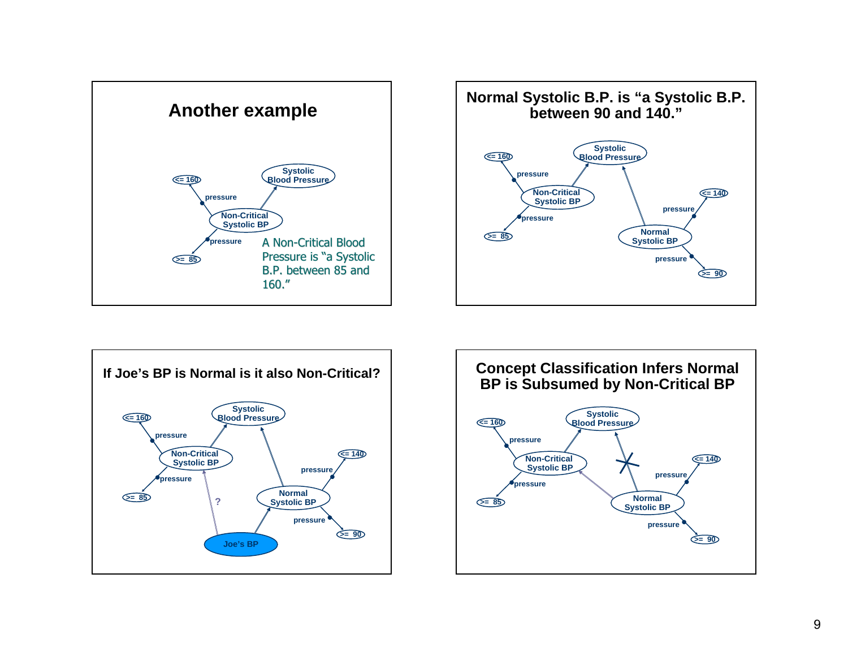